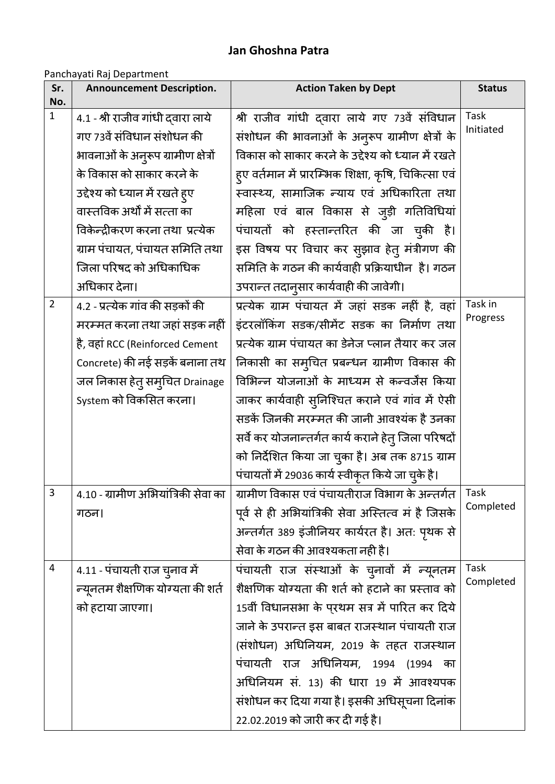## **Jan Ghoshna Patra**

## Panchayati Raj Department

| Sr.<br>No.     | <b>Announcement Description.</b>      | <b>Action Taken by Dept</b>                           | <b>Status</b> |
|----------------|---------------------------------------|-------------------------------------------------------|---------------|
| $\mathbf{1}$   | 4.1 - श्री राजीव गांधी दवारा लाये     | श्री राजीव गांधी दवारा लाये गए 73वें संविधान          | Task          |
|                | गए 73वें संविधान संशोधन की            | संशोधन की भावनाओं के अनुरूप ग्रामीण क्षेत्रों के      | Initiated     |
|                | भावनाओं के अनुरूप ग्रामीण क्षेत्रों   | विकास को साकार करने के उद्देश्य को ध्यान में रखते     |               |
|                | के विकास को साकार करने के             | हुए वर्तमान में प्रारम्भिक शिक्षा, कृषि, चिकित्सा एवं |               |
|                | उद्देश्य को ध्यान में रखते हुए        | स्वास्थ्य, सामाजिक न्याय एवं अधिकारिता तथा            |               |
|                | वास्तविक अर्थों में सत्ता का          | महिला एवं बाल विकास से जुड़ी गतिविधियां               |               |
|                | विकेन्द्रीकरण करना तथा  प्रत्येक      | पंचायतों को हस्तान्तरित की जा च्की है।                |               |
|                | ग्राम पंचायत, पंचायत समिति तथा        | इस विषय पर विचार कर स्झाव हेत् मंत्रीगण की            |               |
|                | जिला परिषद को अधिकाधिक                | समिति के गठन की कार्यवाही प्रक्रियाधीन  है। गठन       |               |
|                | अधिकार देना।                          | उपरान्त तदानुसार कार्यवाही की जावेगी।                 |               |
| $\overline{2}$ | 4.2 - प्रत्येक गांव की सड़कों की      | प्रत्येक ग्राम पंचायत में जहां सडक नहीं है, वहां      | Task in       |
|                | मरम्मत करना तथा जहां सड़क नहीं        | इंटरलॉकिंग सडक/सीमेंट सडक का निर्माण तथा              | Progress      |
|                | है, वहां RCC (Reinforced Cement       | प्रत्येक ग्राम पंचायत का डेनेज प्लान तैयार कर जल      |               |
|                | Concrete) की नई सड़कें बनाना तथ       | निकासी का सम् <b>चित प्रबन्धन ग्रामीण विकास की</b>    |               |
|                | जल निकास हेत् सम् <b>चित Drainage</b> | विभिन्न योजनाओं के माध्यम से कन्वर्जेंस किया          |               |
|                | System को विकसित करना।                | जाकर कार्यवाही सुनिश्चित कराने एवं गांव में ऐसी       |               |
|                |                                       | सडकें जिनकी मरम्मत की जानी आवश्यंक है उनका            |               |
|                |                                       | सर्वे कर योजनान्तर्गत कार्य कराने हेतु जिला परिषदों   |               |
|                |                                       | को निर्देशित किया जा चुका है। अब तक 8715 ग्राम        |               |
|                |                                       | पंचायतों में 29036 कार्य स्वीकृत किये जा चुके है।     |               |
| 3              | 4.10 - ग्रामीण अभियांत्रिकी सेवा का   | ग्रामीण विकास एवं पंचायतीराज विभाग के अन्तर्गत        | Task          |
|                | गठन।                                  | पूर्व से ही अभियांत्रिकी सेवा अस्तित्व मं है जिसके    | Completed     |
|                |                                       | अन्तर्गत 389 इंजीनियर कार्यरत है। अत: पृथक से         |               |
|                |                                       | सेवा के गठन की आवश्यकता नही है।                       |               |
| 4              | 4.11 - पंचायती राज चुनाव में          | पंचायती राज संस्थाओं के चुनावों में न्यूनतम           | Task          |
|                | न्यूनतम शैक्षणिक योग्यता की शर्त      | शैक्षणिक योग्यता की शर्त को हटाने का प्रस्ताव को      | Completed     |
|                | को हटाया जाएगा।                       | 15वीं विधानसभा के पुरथम सत्र में पारित कर दिये        |               |
|                |                                       | जाने के उपरान्त इस बाबत राजस्थान पंचायती राज          |               |
|                |                                       | (संशोधन) अधिनियम, 2019 के तहत राजस्थान                |               |
|                |                                       | पंचायती राज अधिनियम, 1994 (1994 का                    |               |
|                |                                       | अधिनियम सं. 13) की धारा 19 में आवश्यपक                |               |
|                |                                       | संशोधन कर दिया गया है। इसकी अधिसूचना दिनांक           |               |
|                |                                       | 22.02.2019 को जारी कर दी गई है।                       |               |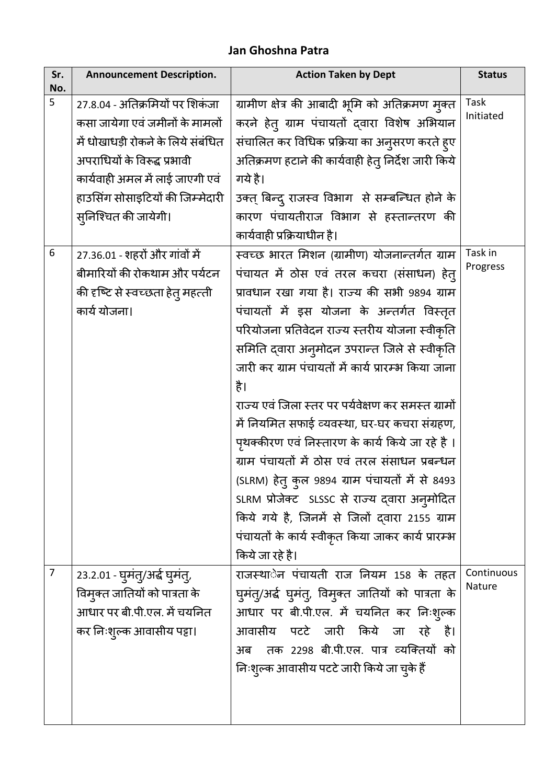## **Jan Ghoshna Patra**

| Sr.<br>No. | <b>Announcement Description.</b>      | <b>Action Taken by Dept</b>                         | <b>Status</b>        |
|------------|---------------------------------------|-----------------------------------------------------|----------------------|
| 5          | 27.8.04 - अतिक्रमियों पर शिकंजा       | ग्रामीण क्षेत्र की आबादी भूमि को अतिक्रमण मुक्त     | Task                 |
|            | कसा जायेगा एवं जमीनों के मामलों       | करने हेत् ग्राम पंचायतों द्वारा विशेष अभियान        | Initiated            |
|            | में धोखाधड़ी रोकने के लिये संबंधित    | संचालित कर विधिक प्रक्रिया का अनुसरण करते ह्ए       |                      |
|            | अपराधियों के विरूद्ध प्रभावी          | अतिक्रमण हटाने की कार्यवाही हेतु निर्देश जारी किये  |                      |
|            | कार्यवाही अमल में लाई जाएगी एवं       | गये है।                                             |                      |
|            | हाउसिंग सोसाइटियों की जिम्मेदारी      | उक्त् बिन्द् राजस्व विभाग) से सम्बन्धित होने के     |                      |
|            | सुनिश्चित की जायेगी।                  | कारण पंचायतीराज विभाग से हस्तान्तरण की              |                      |
|            |                                       | कार्यवाही प्रक्रियाधीन है।                          |                      |
| 6          | 27.36.01 - शहरों और गांवों में        | स्वच्छ भारत मिशन (ग्रामीण) योजनान्तर्गत ग्राम       | Task in              |
|            | बीमारियों की रोकथाम और पर्यटन         | पंचायत में ठोस एवं तरल कचरा (संसाधन) हेत्           | Progress             |
|            | की दृष्टि से स्वच्छता हेत् महत्ती     | प्रावधान रखा गया है। राज्य की सभी 9894 ग्राम        |                      |
|            | कार्य योजना।                          | पंचायतों में इस योजना के अन्तर्गत विस्तृत           |                      |
|            |                                       | परियोजना प्रतिवेदन राज्य स्तरीय योजना स्वीकृति      |                      |
|            |                                       | समिति द्वारा अनुमोदन उपरान्त जिले से स्वीकृति       |                      |
|            |                                       | जारी कर ग्राम पंचायतों में कार्य प्रारम्भ किया जाना |                      |
|            |                                       | है।                                                 |                      |
|            |                                       | राज्य एवं जिला स्तर पर पर्यवेक्षण कर समस्त ग्रामों  |                      |
|            |                                       | में नियमित सफाई व्यवस्था, घर-घर कचरा संग्रहण,       |                      |
|            |                                       | पृथक्कीरण एवं निस्तारण के कार्य किये जा रहे है ।    |                      |
|            |                                       | ग्राम पंचायतों में ठोस एवं तरल संसाधन प्रबन्धन      |                      |
|            |                                       | (SLRM) हेतु कुल 9894 ग्राम पंचायतों में से 8493     |                      |
|            |                                       | SLRM प्रोजेक्ट SLSSC से राज्य द्वारा अनुमोदित       |                      |
|            |                                       | किये गये है, जिनमें से जिलों दवारा 2155 ग्राम       |                      |
|            |                                       | पंचायतों के कार्य स्वीकृत किया जाकर कार्य प्रारम्भ  |                      |
|            |                                       | किये जा रहे है।                                     |                      |
| 7          | २३.२.०१ - घुमंतु/अर्द्ध घुमंतु,       | राजस्थाेन पंचायती राज नियम 158 के तहत               | Continuous<br>Nature |
|            | विम् <i>क्त</i> जातियों को पात्रता के | घुमंत्/अर्द घुमंत्, विमुक्त जातियों को पात्रता के   |                      |
|            | आधार पर बी.पी.एल. में चयनित           | आधार पर बी.पी.एल. में चयनित कर निःशुल्क             |                      |
|            | कर निःश्ल्क आवासीय पट्टा।             | आवासीय पटटे जारी किये जा रहे है।                    |                      |
|            |                                       | तक 2298 बी.पी.एल. पात्र व्यक्तियों को<br>अब         |                      |
|            |                                       | निःशुल्क आवासीय पटटे जारी किये जा चुके हैं          |                      |
|            |                                       |                                                     |                      |
|            |                                       |                                                     |                      |